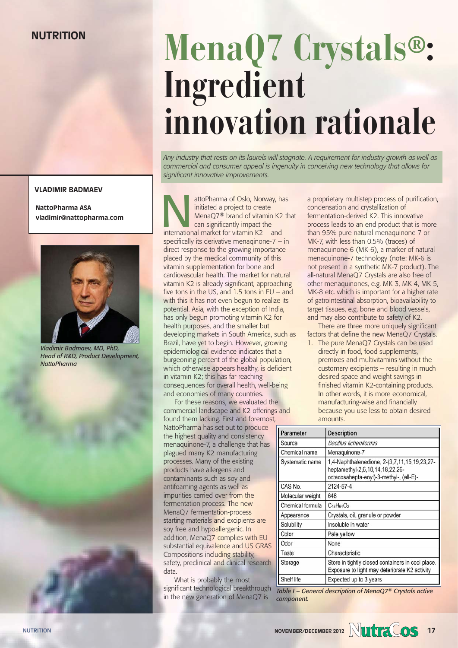## **VLADIMIR BADMAEV**

**NattoPharma ASA vladimir@nattopharma.com** 



# data. *Vladimir Badmaev, MD, PhD, Head of R&D, Product Development, NattoPharma*

## Nutrition **MenaQ7 Crystals®: Ingredient innovation rationale**

*Any industry that rests on its laurels will stagnate. A requirement for industry growth as well as commercial and consumer appeal is ingenuity in conceiving new technology that allows for significant innovative improvements.*

attoPharma of Oslo, Norway, has initiated a project to create MenaQ7® brand of vitamin K2 that can significantly impact the international market for vitamin K2 – and specifically its derivative menaqinone-7 – in direct response to the growing importance placed by the medical community of this vitamin supplementation for bone and cardiovascular health. The market for natural vitamin K2 is already significant, approaching five tons in the US, and 1.5 tons in EU – and with this it has not even begun to realize its potential. Asia, with the exception of India, has only begun promoting vitamin K2 for health purposes, and the smaller but developing markets in South America, such as Brazil, have yet to begin. However, growing epidemiological evidence indicates that a burgeoning percent of the global population, which otherwise appears healthy, is deficient in vitamin K2; this has far-reaching consequences for overall health, well-being and economies of many countries.

For these reasons, we evaluated the commercial landscape and K2 offerings and found them lacking. First and foremost,

NattoPharma has set out to produce the highest quality and consistency menaquinone-7, a challenge that has plagued many K2 manufacturing processes. Many of the existing products have allergens and contaminants such as soy and antifoaming agents as well as impurities carried over from the fermentation process. The new MenaQ7 fermentation-process starting materials and excipients are soy free and hypoallergenic. In addition, MenaQ7 complies with EU substantial equivalence and US GRAS Compositions including stability, safety, preclinical and clinical research

What is probably the most significant technological breakthrough in the new generation of MenaQ7 is

a proprietary multistep process of purification, condensation and crystallization of fermentation-derived K2. This innovative process leads to an end product that is more than 95% pure natural menaquinone-7 or MK-7, with less than 0.5% (traces) of menaquinone-6 (MK-6), a marker of natural menaquinone-7 technology (note: MK-6 is not present in a synthetic MK-7 product). The all-natural MenaQ7 Crystals are also free of other menaquinones, e.g. MK-3, MK-4, MK-5, MK-8 etc. which is important for a higher rate of gatrointestinal absorption, bioavailability to target tissues, e.g. bone and blood vessels, and may also contribute to safety of K2.

There are three more uniquely significant factors that define the new MenaQ7 Crystals.

1. The pure MenaQ7 Crystals can be used directly in food, food supplements, premixes and multivitamins without the customary excipients – resulting in much desired space and weight savings in finished vitamin K2-containing products. In other words, it is more economical, manufacturing-wise and financially because you use less to obtain desired amounts.

| Parameter        | <b>Description</b>                                                                                                         |
|------------------|----------------------------------------------------------------------------------------------------------------------------|
| Source           | <b>Bacillus licheniformis</b>                                                                                              |
| Chemical name    | Menaquinone-7                                                                                                              |
| Systematic name  | 1,4-Naphthalenedione, 2-(3,7,11,15,19,23,27-<br>heptamethyl-2,6,10,14,18,22,26-<br>octacosahepta-enyl)-3-methyl-, (all-E)- |
| CAS No.          | 2124-57-4                                                                                                                  |
| Molecular weight | 648                                                                                                                        |
| Chemical formula | $C_{46}H_{64}O_2$                                                                                                          |
| Appearance       | Crystals, oil, granule or powder                                                                                           |
| Solubility       | Insoluble in water                                                                                                         |
| Color            | Pale yellow                                                                                                                |
| Odor             | None                                                                                                                       |
| Taste            | Characteristic                                                                                                             |
| Storage          | Store in tightly closed containers in cool place.<br>Exposure to light may deteriorate K2 activity                         |
| Shelf life       | Expected up to 3 years                                                                                                     |

*Table I – General description of MenaQ7® Crystals active component.*

NUTRITION **NOVEMBER/DECEMBER 2012 NOVEMBER/DECEMBER 2012 NOVEMBER/DECEMBER 2012 NOVEMBER** 2012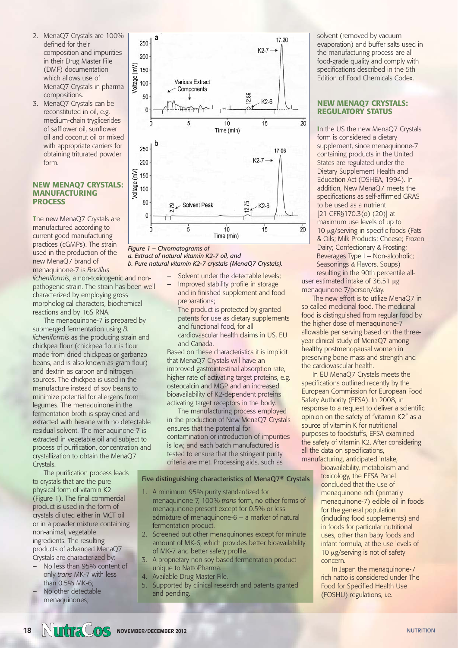- 2. MenaQ7 Crystals are 100% defined for their composition and impurities in their Drug Master File (DMF) documentation which allows use of MenaQ7 Crystals in pharma compositions.
- 3. MenaQ7 Crystals can be reconstituted in oil, e.g. medium-chain tryglicerides of safflower oil, sunflower oil and coconut oil or mixed with appropriate carriers for obtaining triturated powder form.

### **NEW MENAQ7 CRYSTALS: MANUFACTURING PROCESS**

**T**he new MenaQ7 Crystals are manufactured according to current good manufacturing practices (cGMPs). The strain used in the production of the new MenaQ7 brand of menaquinone-7 is *Bacillus*

*licheniformis*, a non-toxicogenic and nonpathogenic strain. The strain has been well characterized by employing gross morphological characters, biochemical reactions and by 16S RNA.

The menaquinone-7 is prepared by submerged fermentation using *B. licheniformis* as the producing strain and chickpea flour (chickpea flour is flour made from dried chickpeas or garbanzo beans, and is also known as gram flour) and dextrin as carbon and nitrogen sources. The chickpea is used in the manufacture instead of soy beans to minimize potential for allergens from legumes. The menaquinone in the fermentation broth is spray dried and extracted with hexane with no detectable residual solvent. The menaquinone-7 is extracted in vegetable oil and subject to process of purification, concentration and crystallization to obtain the MenaQ7 Crystals.

The purification process leads to crystals that are the pure physical form of vitamin K2 (Figure 1). The final commercial product is used in the form of crystals diluted either in MCT oil or in a powder mixture containing non-animal, vegetable ingredients. The resulting products of advanced MenaQ7 Crystals are characterized by:

- No less than 95% content of only *trans* MK-7 with less than 0.5% MK-6; No other detectable
	- menaquinones;



### *Figure 1 – Chromatograms of a. Extract of natural vitamin K2-7 oil, and b. Pure natural vitamin K2-7 crystals (MenaQ7 Crystals).*

- Solvent under the detectable levels;
- Improved stability profile in storage and in finished supplement and food preparations;
- The product is protected by granted patents for use as dietary supplements and functional food, for all cardiovascular health claims in US, EU and Canada.

Based on these characteristics it is implicit that MenaQ7 Crystals will have an improved gastrointestinal absorption rate, higher rate of activating target proteins, e.g. osteocalcin and MGP and an increased bioavailability of K2-dependent proteins activating target receptors in the body.

The manufacturing process employed in the production of New MenaQ7 Crystals ensures that the potential for contamination or introduction of impurities is low, and each batch manufactured is tested to ensure that the stringent purity criteria are met. Processing aids, such as

### Five distinguishing characteristics of MenaQ7® Crystals

- 1. A minimum 95% purity standardized for menaquinone-7, 100% *trans* form, no other forms of menaquinone present except for 0.5% or less admixture of menaquinone-6 – a marker of natural fermentation product.
- 2. Screened out other menaquinones except for minute amount of MK-6, which provides better bioavailability of MK-7 and better safety profile.
- 3. A proprietary non-soy based fermentation product unique to NattoPharma.
- 4. Available Drug Master File.
- 5. Supported by clinical research and patents granted and pending.

solvent (removed by vacuum evaporation) and buffer salts used in the manufacturing process are all food-grade quality and comply with specifications described in the 5th Edition of Food Chemicals Codex.

## **NEW MENAQ7 CRYSTALS: REGULATORY STATUS**

**I**n the US the new MenaQ7 Crystals form is considered a dietary supplement, since menaquinone-7 containing products in the United States are regulated under the Dietary Supplement Health and Education Act (DSHEA, 1994). In addition, New MenaQ7 meets the specifications as self-affirmed GRAS to be used as a nutrient [21 CFR§170.3(o) (20)] at maximum use levels of up to 10 μg/serving in specific foods (Fats & Oils; Milk Products; Cheese; Frozen Dairy; Confectionary & Frosting; Beverages Type I – Non-alcoholic; Seasonings & Flavors, Soups)

resulting in the 90th percentile alluser estimated intake of 36.51 μg menaquinone-7/person/day.

The new effort is to utilize MenaQ7 in so-called medicinal food. The medicinal food is distinguished from regular food by the higher dose of menaquinone-7 allowable per serving based on the threeyear clinical study of MenaQ7 among healthy postmenopausal women in preserving bone mass and strength and the cardiovascular health.

In EU MenaQ7 Crystals meets the specifications outlined recently by the European Commission for European Food Safety Authority (EFSA). In 2008, in response to a request to deliver a scientific opinion on the safety of "vitamin K2" as a source of vitamin K for nutritional purposes to foodstuffs, EFSA examined the safety of vitamin K2. After considering all the data on specifications, manufacturing, anticipated intake,

bioavailability, metabolism and toxicology, the EFSA Panel concluded that the use of menaquinone-rich (primarily menaquinone-7) edible oil in foods for the general population (including food supplements) and in foods for particular nutritional uses, other than baby foods and infant formula, at the use levels of 10 μg/serving is not of safety concern.

In Japan the menaquinone-7 rich natto is considered under The Food for Specified Health Use (FOSHU) regulations, i.e.